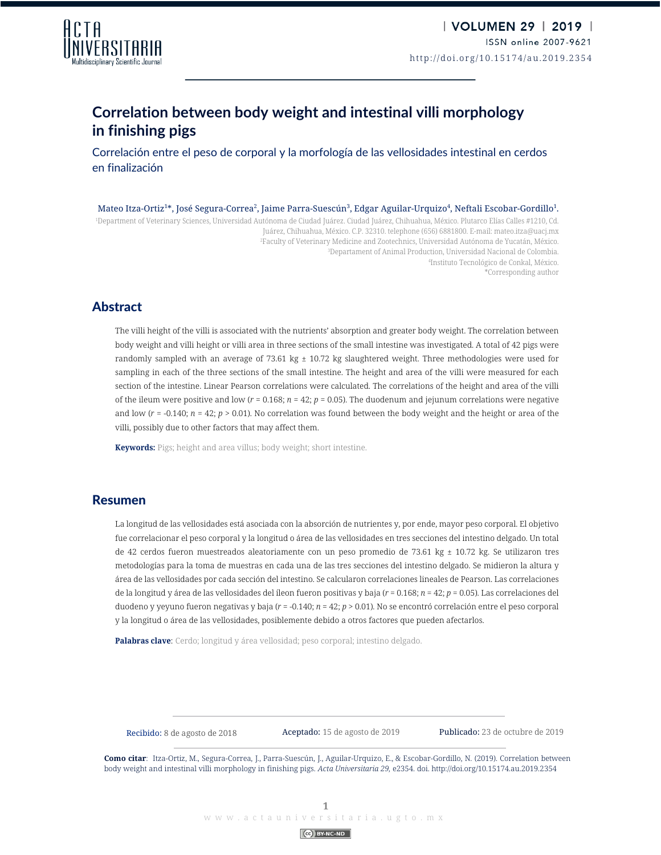

# **Correlation between body weight and intestinal villi morphology in finishing pigs**

Correlación entre el peso de corporal y la morfología de las vellosidades intestinal en cerdos en finalización

Mateo Itza-Ortiz $^{1*}$ , José Segura-Correa $^2$ , Jaime Parra-Suescún $^3$ , Edgar Aguilar-Urquizo $^4$ , Neftali Escobar-Gordillo $^1$ . 1 Department of Veterinary Sciences, Universidad Autónoma de Ciudad Juárez. Ciudad Juárez, Chihuahua, México. Plutarco Elías Calles #1210, Cd. Juárez, Chihuahua, México. C.P. 32310. telephone (656) 6881800. E-mail: mateo.itza@uacj.mx 2 Faculty of Veterinary Medicine and Zootechnics, Universidad Autónoma de Yucatán, México. 3 Departament of Animal Production, Universidad Nacional de Colombia. 4 Instituto Tecnológico de Conkal, México. \*Corresponding author

## Abstract

The villi height of the villi is associated with the nutrients' absorption and greater body weight. The correlation between body weight and villi height or villi area in three sections of the small intestine was investigated. A total of 42 pigs were randomly sampled with an average of 73.61 kg  $\pm$  10.72 kg slaughtered weight. Three methodologies were used for sampling in each of the three sections of the small intestine. The height and area of the villi were measured for each section of the intestine. Linear Pearson correlations were calculated. The correlations of the height and area of the villi of the ileum were positive and low  $(r = 0.168; n = 42; p = 0.05)$ . The duodenum and jejunum correlations were negative and low ( $r = -0.140$ ;  $n = 42$ ;  $p > 0.01$ ). No correlation was found between the body weight and the height or area of the villi, possibly due to other factors that may affect them.

**Keywords:** Pigs; height and area villus; body weight; short intestine.

#### Resumen

La longitud de las vellosidades está asociada con la absorción de nutrientes y, por ende, mayor peso corporal. El objetivo fue correlacionar el peso corporal y la longitud o área de las vellosidades en tres secciones del intestino delgado. Un total de 42 cerdos fueron muestreados aleatoriamente con un peso promedio de 73.61 kg ± 10.72 kg. Se utilizaron tres metodologías para la toma de muestras en cada una de las tres secciones del intestino delgado. Se midieron la altura y área de las vellosidades por cada sección del intestino. Se calcularon correlaciones lineales de Pearson. Las correlaciones de la longitud y área de las vellosidades del íleon fueron positivas y baja (*r* = 0.168; *n* = 42; *p* = 0.05). Las correlaciones del duodeno y yeyuno fueron negativas y baja (*r* = -0.140; *n* = 42; *p* > 0.01). No se encontró correlación entre el peso corporal y la longitud o área de las vellosidades, posiblemente debido a otros factores que pueden afectarlos.

**Palabras clave**: Cerdo; longitud y área vellosidad; peso corporal; intestino delgado.

Recibido: 8 de agosto de 2018

Aceptado: 15 de agosto de 2019 Publicado: 23 de octubre de 2019

**Como citar**: Itza-Ortiz, M., Segura-Correa, J., Parra-Suescún, J., Aguilar-Urquizo, E., & Escobar-Gordillo, N. (2019). Correlation between body weight and intestinal villi morphology in finishing pigs. *Acta Universitaria 29,* e2354. doi. http://doi.org/10.15174.au.2019.2354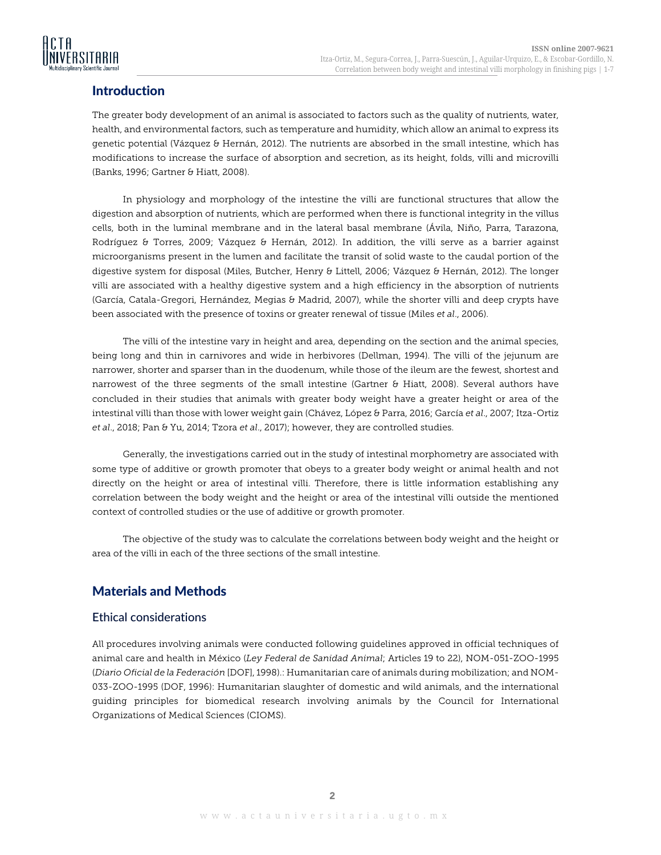

## **Introduction**

The greater body development of an animal is associated to factors such as the quality of nutrients, water, health, and environmental factors, such as temperature and humidity, which allow an animal to express its genetic potential (Vázquez & Hernán, 2012). The nutrients are absorbed in the small intestine, which has modifications to increase the surface of absorption and secretion, as its height, folds, villi and microvilli (Banks, 1996; Gartner & Hiatt, 2008).

In physiology and morphology of the intestine the villi are functional structures that allow the digestion and absorption of nutrients, which are performed when there is functional integrity in the villus cells, both in the luminal membrane and in the lateral basal membrane (Ávila, Niño, Parra, Tarazona, Rodríguez & Torres, 2009; Vázquez & Hernán, 2012). In addition, the villi serve as a barrier against microorganisms present in the lumen and facilitate the transit of solid waste to the caudal portion of the digestive system for disposal (Miles, Butcher, Henry & Littell, 2006; Vázquez & Hernán, 2012). The longer villi are associated with a healthy digestive system and a high efficiency in the absorption of nutrients (García, Catala-Gregori, Hernández, Megias & Madrid, 2007), while the shorter villi and deep crypts have been associated with the presence of toxins or greater renewal of tissue (Miles *et al*., 2006).

The villi of the intestine vary in height and area, depending on the section and the animal species, being long and thin in carnivores and wide in herbivores (Dellman, 1994). The villi of the jejunum are narrower, shorter and sparser than in the duodenum, while those of the ileum are the fewest, shortest and narrowest of the three segments of the small intestine (Gartner & Hiatt, 2008). Several authors have concluded in their studies that animals with greater body weight have a greater height or area of the intestinal villi than those with lower weight gain (Chávez, López & Parra, 2016; García *et al*., 2007; Itza-Ortiz *et al*., 2018; Pan & Yu, 2014; Tzora *et al*., 2017); however, they are controlled studies.

Generally, the investigations carried out in the study of intestinal morphometry are associated with some type of additive or growth promoter that obeys to a greater body weight or animal health and not directly on the height or area of intestinal villi. Therefore, there is little information establishing any correlation between the body weight and the height or area of the intestinal villi outside the mentioned context of controlled studies or the use of additive or growth promoter.

The objective of the study was to calculate the correlations between body weight and the height or area of the villi in each of the three sections of the small intestine.

## Materials and Methods

### Ethical considerations

All procedures involving animals were conducted following guidelines approved in official techniques of animal care and health in México (*Ley Federal de Sanidad Animal*; Articles 19 to 22), NOM-051-ZOO-1995 (*Diario Oficial de la Federación* [DOF], 1998).: Humanitarian care of animals during mobilization; and NOM-033-ZOO-1995 (DOF, 1996): Humanitarian slaughter of domestic and wild animals, and the international guiding principles for biomedical research involving animals by the Council for International Organizations of Medical Sciences (CIOMS).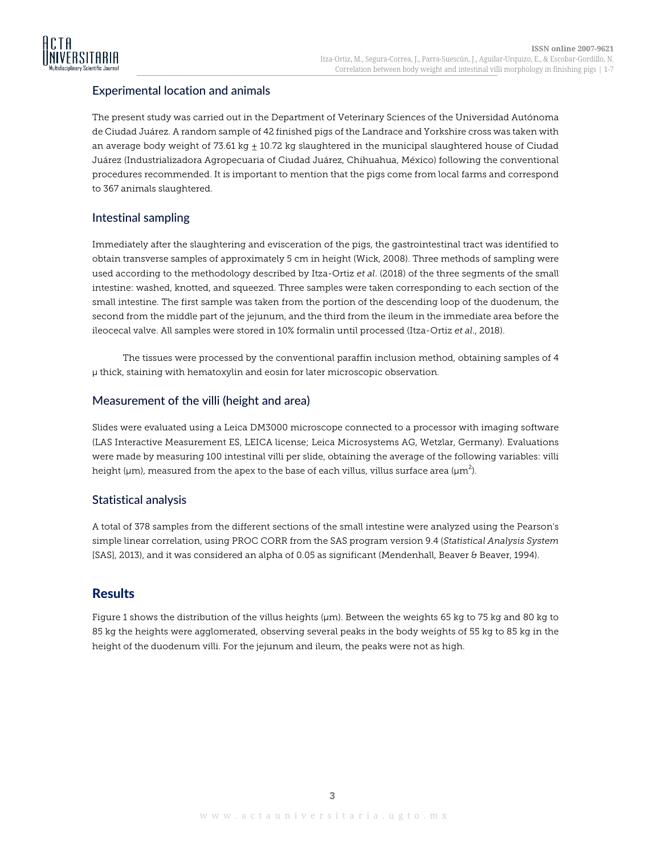

## Experimental location and animals

The present study was carried out in the Department of Veterinary Sciences of the Universidad Autónoma de Ciudad Juárez. A random sample of 42 finished pigs of the Landrace and Yorkshire cross was taken with an average body weight of 73.61 kg  $\pm$  10.72 kg slaughtered in the municipal slaughtered house of Ciudad Juárez (Industrializadora Agropecuaria of Ciudad Juárez, Chihuahua, México) following the conventional procedures recommended. It is important to mention that the pigs come from local farms and correspond to 367 animals slaughtered.

## Intestinal sampling

Immediately after the slaughtering and evisceration of the pigs, the gastrointestinal tract was identified to obtain transverse samples of approximately 5 cm in height (Wick, 2008). Three methods of sampling were used according to the methodology described by Itza-Ortiz *et al*. (2018) of the three segments of the small intestine: washed, knotted, and squeezed. Three samples were taken corresponding to each section of the small intestine. The first sample was taken from the portion of the descending loop of the duodenum, the second from the middle part of the jejunum, and the third from the ileum in the immediate area before the ileocecal valve. All samples were stored in 10% formalin until processed (Itza-Ortiz *et al*., 2018).

The tissues were processed by the conventional paraffin inclusion method, obtaining samples of 4 µ thick, staining with hematoxylin and eosin for later microscopic observation.

#### Measurement of the villi (height and area)

Slides were evaluated using a Leica DM3000 microscope connected to a processor with imaging software (LAS Interactive Measurement ES, LEICA license; Leica Microsystems AG, Wetzlar, Germany). Evaluations were made by measuring 100 intestinal villi per slide, obtaining the average of the following variables: villi height (µm), measured from the apex to the base of each villus, villus surface area (µm $^2$ ).

### Statistical analysis

A total of 378 samples from the different sections of the small intestine were analyzed using the Pearson's simple linear correlation, using PROC CORR from the SAS program version 9.4 (*Statistical Analysis System* [SAS], 2013), and it was considered an alpha of 0.05 as significant (Mendenhall, Beaver & Beaver, 1994).

## **Results**

Figure 1 shows the distribution of the villus heights (µm). Between the weights 65 kg to 75 kg and 80 kg to 85 kg the heights were agglomerated, observing several peaks in the body weights of 55 kg to 85 kg in the height of the duodenum villi. For the jejunum and ileum, the peaks were not as high.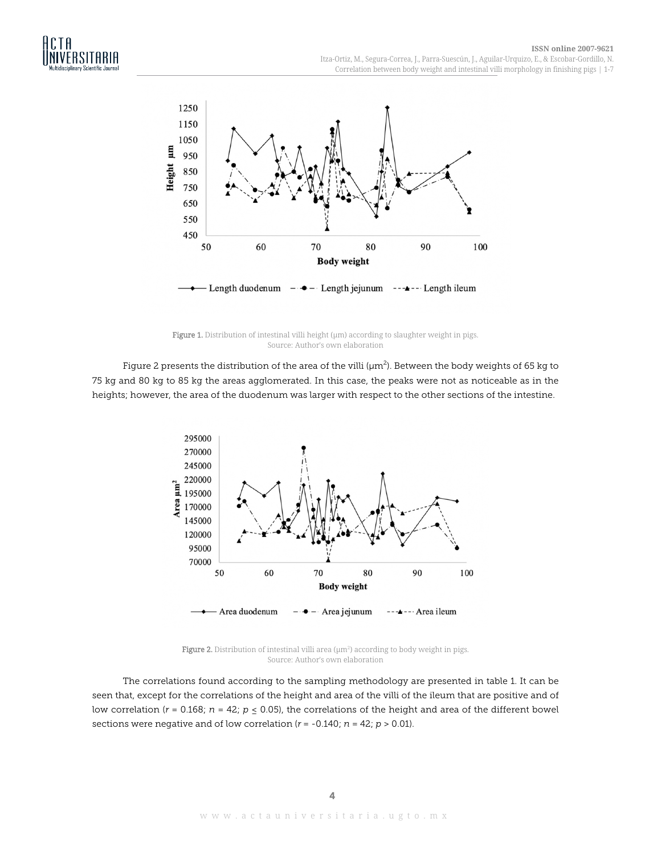

Figure 1. Distribution of intestinal villi height ( $\mu$ m) according to slaughter weight in pigs. Source: Author's own elaboration

Figure 2 presents the distribution of the area of the villi (µm $^2$ ). Between the body weights of 65 kg to 75 kg and 80 kg to 85 kg the areas agglomerated. In this case, the peaks were not as noticeable as in the heights; however, the area of the duodenum was larger with respect to the other sections of the intestine.



**Figure 2.** Distribution of intestinal villi area ( $\mu$ m<sup>2</sup>) according to body weight in pigs. Source: Author's own elaboration

The correlations found according to the sampling methodology are presented in table 1. It can be seen that, except for the correlations of the height and area of the villi of the ileum that are positive and of low correlation ( $r = 0.168$ ;  $n = 42$ ;  $p \le 0.05$ ), the correlations of the height and area of the different bowel sections were negative and of low correlation (*r* = -0.140; *n* = 42; *p* > 0.01).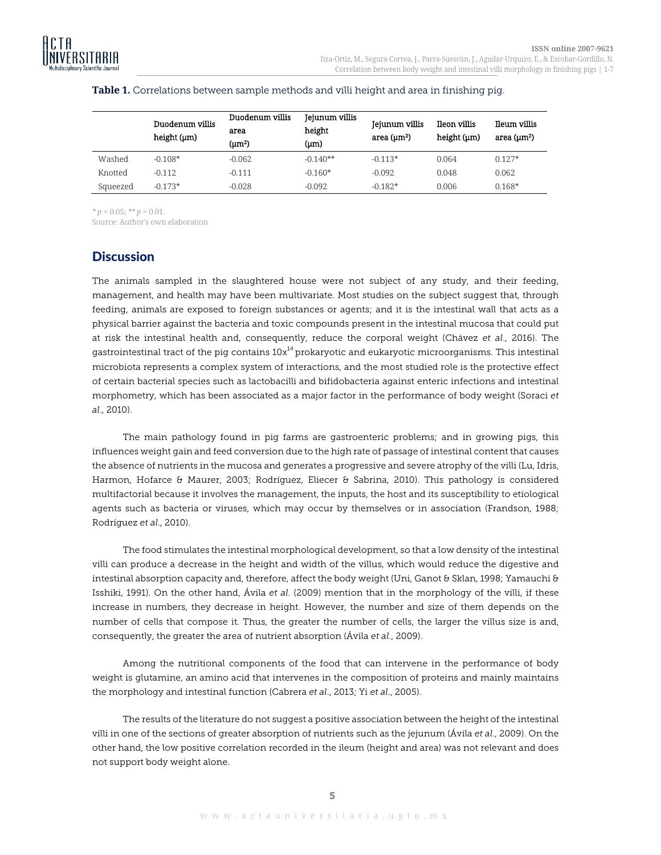|          | Duodenum villis<br>height (µm) | Duodenum villis<br>area<br>(um <sup>2</sup> ) | Jejunum villis<br>height<br>$(\mu m)$ | Jejunum villis<br>area $(\mu m^2)$ | Ileon villis<br>height (µm) | Ileum villis<br>area $(\mu m^2)$ |
|----------|--------------------------------|-----------------------------------------------|---------------------------------------|------------------------------------|-----------------------------|----------------------------------|
| Washed   | $-0.108*$                      | $-0.062$                                      | $-0.140**$                            | $-0.113*$                          | 0.064                       | $0.127*$                         |
| Knotted  | $-0.112$                       | $-0.111$                                      | $-0.160*$                             | $-0.092$                           | 0.048                       | 0.062                            |
| Squeezed | $-0.173*$                      | $-0.028$                                      | $-0.092$                              | $-0.182*$                          | 0.006                       | $0.168*$                         |

#### **Table 1.** Correlations between sample methods and villi height and area in finishing pig.

*\* p* = 0.05; *\*\* p* > 0.01.

Source: Author's own elaboration

## **Discussion**

The animals sampled in the slaughtered house were not subject of any study, and their feeding, management, and health may have been multivariate. Most studies on the subject suggest that, through feeding, animals are exposed to foreign substances or agents; and it is the intestinal wall that acts as a physical barrier against the bacteria and toxic compounds present in the intestinal mucosa that could put at risk the intestinal health and, consequently, reduce the corporal weight (Chávez *et al*., 2016). The gastrointestinal tract of the pig contains  $10x^{14}$  prokaryotic and eukaryotic microorganisms. This intestinal microbiota represents a complex system of interactions, and the most studied role is the protective effect of certain bacterial species such as lactobacilli and bifidobacteria against enteric infections and intestinal morphometry, which has been associated as a major factor in the performance of body weight (Soraci *et al*., 2010).

The main pathology found in pig farms are gastroenteric problems; and in growing pigs, this influences weight gain and feed conversion due to the high rate of passage of intestinal content that causes the absence of nutrients in the mucosa and generates a progressive and severe atrophy of the villi (Lu, Idris, Harmon, Hofarce & Maurer, 2003; Rodríguez, Eliecer & Sabrina, 2010). This pathology is considered multifactorial because it involves the management, the inputs, the host and its susceptibility to etiological agents such as bacteria or viruses, which may occur by themselves or in association (Frandson, 1988; Rodríguez *et al*., 2010).

The food stimulates the intestinal morphological development, so that a low density of the intestinal villi can produce a decrease in the height and width of the villus, which would reduce the digestive and intestinal absorption capacity and, therefore, affect the body weight (Uni, Ganot & Sklan, 1998; Yamauchi & Isshiki, 1991). On the other hand, Ávila *et al*. (2009) mention that in the morphology of the villi, if these increase in numbers, they decrease in height. However, the number and size of them depends on the number of cells that compose it. Thus, the greater the number of cells, the larger the villus size is and, consequently, the greater the area of nutrient absorption (Ávila *et al*., 2009).

Among the nutritional components of the food that can intervene in the performance of body weight is glutamine, an amino acid that intervenes in the composition of proteins and mainly maintains the morphology and intestinal function (Cabrera *et al*., 2013; Yi *et al*., 2005).

The results of the literature do not suggest a positive association between the height of the intestinal villi in one of the sections of greater absorption of nutrients such as the jejunum (Ávila *et al*., 2009). On the other hand, the low positive correlation recorded in the ileum (height and area) was not relevant and does not support body weight alone.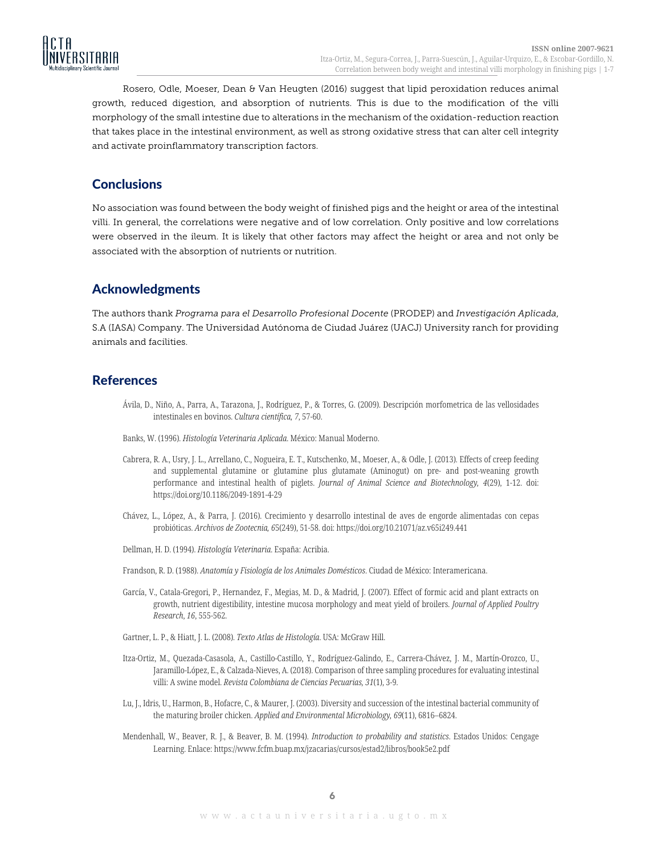

Rosero, Odle, Moeser, Dean & Van Heugten (2016) suggest that lipid peroxidation reduces animal growth, reduced digestion, and absorption of nutrients. This is due to the modification of the villi morphology of the small intestine due to alterations in the mechanism of the oxidation-reduction reaction that takes place in the intestinal environment, as well as strong oxidative stress that can alter cell integrity and activate proinflammatory transcription factors.

## **Conclusions**

No association was found between the body weight of finished pigs and the height or area of the intestinal villi. In general, the correlations were negative and of low correlation. Only positive and low correlations were observed in the ileum. It is likely that other factors may affect the height or area and not only be associated with the absorption of nutrients or nutrition.

## Acknowledgments

The authors thank *Programa para el Desarrollo Profesional Docente* (PRODEP) and *Investigación Aplicada*, S.A (IASA) Company. The Universidad Autónoma de Ciudad Juárez (UACJ) University ranch for providing animals and facilities.

## **References**

- Ávila, D., Niño, A., Parra, A., Tarazona, J., Rodríguez, P., & Torres, G. (2009). Descripción morfometrica de las vellosidades intestinales en bovinos. *Cultura científica, 7*, 57-60.
- Banks, W. (1996). *Histología Veterinaria Aplicada*. México: Manual Moderno.
- Cabrera, R. A., Usry, J. L., Arrellano, C., Nogueira, E. T., Kutschenko, M., Moeser, A., & Odle, J. (2013). Effects of creep feeding and supplemental glutamine or glutamine plus glutamate (Aminogut) on pre- and post-weaning growth performance and intestinal health of piglets. *Journal of Animal Science and Biotechnology, 4*(29), 1-12. doi: https://doi.org/10.1186/2049-1891-4-29
- Chávez, L., López, A., & Parra, J. (2016). Crecimiento y desarrollo intestinal de aves de engorde alimentadas con cepas probióticas. *Archivos de Zootecnia, 6*5(249), 51-58. doi: https://doi.org/10.21071/az.v65i249.441
- Dellman, H. D. (1994). *Histología Veterinaria*. España: Acribia.
- Frandson, R. D. (1988). *Anatomía y Fisiología de los Animales Domésticos*. Ciudad de México: Interamericana.
- García, V., Catala-Gregori, P., Hernandez, F., Megias, M. D., & Madrid, J. (2007). Effect of formic acid and plant extracts on growth, nutrient digestibility, intestine mucosa morphology and meat yield of broilers. *Journal of Applied Poultry Research*, *16*, 555-562.
- Gartner, L. P., & Hiatt, J. L. (2008). *Texto Atlas de Histología*. USA: McGraw Hill.
- Itza-Ortiz, M., Quezada-Casasola, A., Castillo-Castillo, Y., Rodríguez-Galindo, E., Carrera-Chávez, J. M., Martín-Orozco, U., Jaramillo-López, E., & Calzada-Nieves, A. (2018). Comparison of three sampling procedures for evaluating intestinal villi: A swine model. *Revista Colombiana de Ciencias Pecuarias, 31*(1), 3-9.
- Lu, J., Idris, U., Harmon, B., Hofacre, C., & Maurer, J. (2003). Diversity and succession of the intestinal bacterial community of the maturing broiler chicken. *Applied and Environmental Microbiology, 69*(11), 6816–6824.
- Mendenhall, W., Beaver, R. J., & Beaver, B. M. (1994). *Introduction to probability and statistics*. Estados Unidos: Cengage Learning. Enlace: https://www.fcfm.buap.mx/jzacarias/cursos/estad2/libros/book5e2.pdf